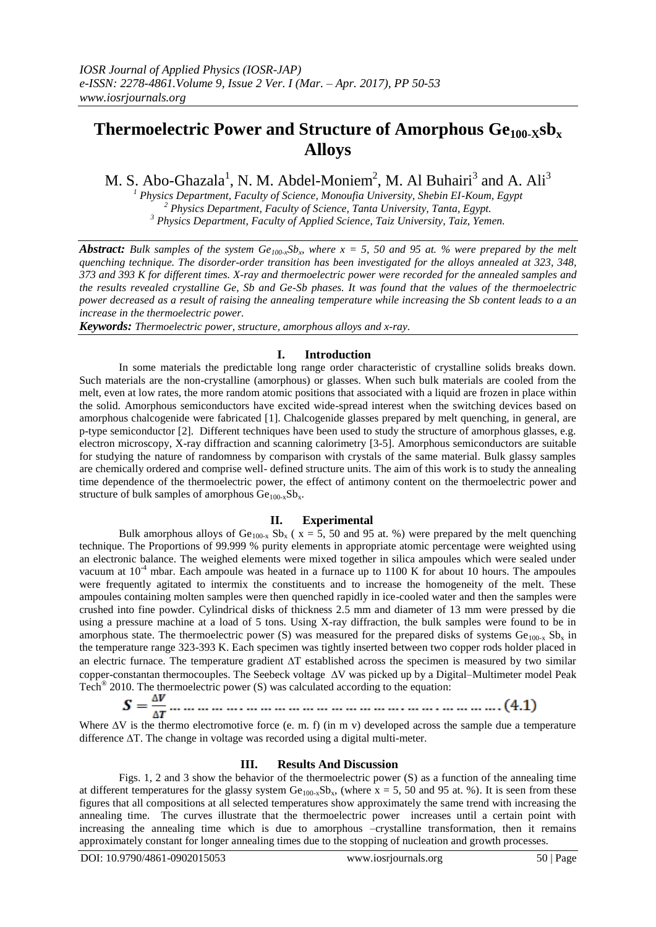# **Thermoelectric Power and Structure of Amorphous Ge100-Xsb<sup>x</sup> Alloys**

M. S. Abo-Ghazala<sup>1</sup>, N. M. Abdel-Moniem<sup>2</sup>, M. Al Buhairi<sup>3</sup> and A. Ali<sup>3</sup>

*<sup>1</sup> Physics Department, Faculty of Science, Monoufia University, Shebin EI-Koum, Egypt <sup>2</sup> Physics Department, Faculty of Science, Tanta University, Tanta, Egypt. <sup>3</sup> Physics Department, Faculty of Applied Science, Taiz University, Taiz, Yemen.*

*Abstract:* Bulk samples of the system  $Ge_{100-x}Sb_x$  where  $x = 5$ , 50 and 95 at. % were prepared by the melt *quenching technique. The disorder-order transition has been investigated for the alloys annealed at 323, 348, 373 and 393 K for different times. X-ray and thermoelectric power were recorded for the annealed samples and the results revealed crystalline Ge, Sb and Ge-Sb phases. It was found that the values of the thermoelectric power decreased as a result of raising the annealing temperature while increasing the Sb content leads to a an increase in the thermoelectric power.*

*Keywords: Thermoelectric power, structure, amorphous alloys and x-ray.*

# **I. Introduction**

In some materials the predictable long range order characteristic of crystalline solids breaks down. Such materials are the non-crystalline (amorphous) or glasses. When such bulk materials are cooled from the melt, even at low rates, the more random atomic positions that associated with a liquid are frozen in place within the solid. Amorphous semiconductors have excited wide-spread interest when the switching devices based on amorphous chalcogenide were fabricated [1]. Chalcogenide glasses prepared by melt quenching, in general, are p-type semiconductor [2]. Different techniques have been used to study the structure of amorphous glasses, e.g. electron microscopy, X-ray diffraction and scanning calorimetry [3-5]. Amorphous semiconductors are suitable for studying the nature of randomness by comparison with crystals of the same material. Bulk glassy samples are chemically ordered and comprise well- defined structure units. The aim of this work is to study the annealing time dependence of the thermoelectric power, the effect of antimony content on the thermoelectric power and structure of bulk samples of amorphous  $Ge_{100-x}Sb_x$ .

### **II. Experimental**

Bulk amorphous alloys of Ge<sub>100-x</sub> Sb<sub>x</sub> ( $x = 5$ , 50 and 95 at. %) were prepared by the melt quenching technique. The Proportions of 99.999 % purity elements in appropriate atomic percentage were weighted using an electronic balance. The weighed elements were mixed together in silica ampoules which were sealed under vacuum at  $10<sup>-4</sup>$  mbar. Each ampoule was heated in a furnace up to 1100 K for about 10 hours. The ampoules were frequently agitated to intermix the constituents and to increase the homogeneity of the melt. These ampoules containing molten samples were then quenched rapidly in ice-cooled water and then the samples were crushed into fine powder. Cylindrical disks of thickness 2.5 mm and diameter of 13 mm were pressed by die using a pressure machine at a load of 5 tons. Using X-ray diffraction, the bulk samples were found to be in amorphous state. The thermoelectric power (S) was measured for the prepared disks of systems  $Ge_{100-x} Sb_x$  in the temperature range 323-393 K. Each specimen was tightly inserted between two copper rods holder placed in an electric furnace. The temperature gradient  $\Delta T$  established across the specimen is measured by two similar copper-constantan thermocouples. The Seebeck voltage  $\Delta V$  was picked up by a Digital–Multimeter model Peak Tech® 2010. The thermoelectric power (S) was calculated according to the equation:

Where  $\Delta V$  is the thermo electromotive force (e. m. f) (in m v) developed across the sample due a temperature difference  $\Delta T$ . The change in voltage was recorded using a digital multi-meter.

# **III. Results And Discussion**

Figs. 1, 2 and 3 show the behavior of the thermoelectric power (S) as a function of the annealing time at different temperatures for the glassy system  $Ge_{100}$ ,  $Sb_x$ , (where  $x = 5, 50$  and 95 at. %). It is seen from these figures that all compositions at all selected temperatures show approximately the same trend with increasing the annealing time. The curves illustrate that the thermoelectric power increases until a certain point with increasing the annealing time which is due to amorphous –crystalline transformation, then it remains approximately constant for longer annealing times due to the stopping of nucleation and growth processes.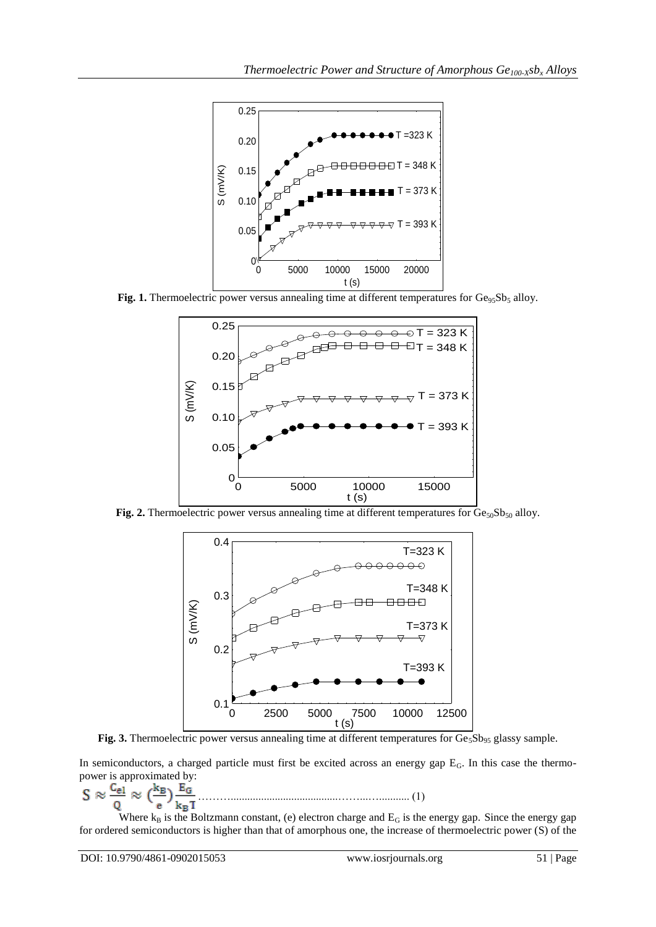

Fig. 1. Thermoelectric power versus annealing time at different temperatures for Ge<sub>95</sub>Sb<sub>5</sub> alloy.



**Fig. 2.** Thermoelectric power versus annealing time at different temperatures for  $Ge_{50}Sb_{50}$  alloy.



Fig. 5.5. Therefore power versus annealing time at different temperatures for  $Ge<sub>5</sub>$ Fig. 3. Thermoelectric power versus annealing time at different temperatures for Ge<sub>5</sub>Sb<sub>95</sub> glassy sample.  $\frac{1}{2}$ 

In semiconductors, a charged particle must first be excited across an energy gap EG. In this case the thermopower is approximated by:

……….......................................……...…........... (1)

Where  $k_B$  is the Boltzmann constant, (e) electron charge and  $E_G$  is the energy gap. Since the energy gap for ordered semiconductors is higher than that of amorphous one, the increase of thermoelectric power (S) of the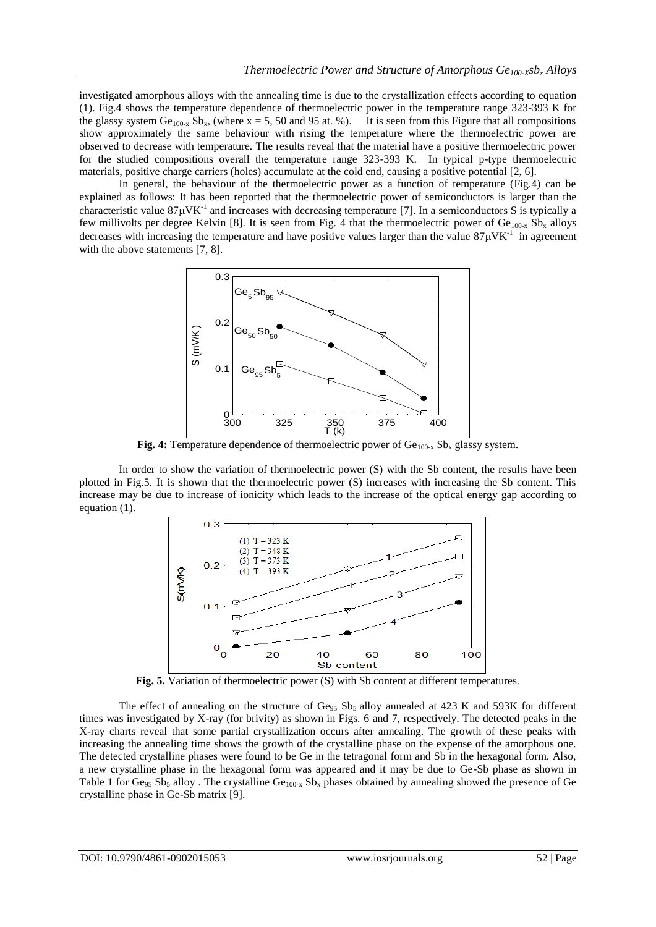investigated amorphous alloys with the annealing time is due to the crystallization effects according to equation (1). Fig.4 shows the temperature dependence of thermoelectric power in the temperature range 323-393 K for the glassy system  $Ge_{100-x}$  Sb<sub>x</sub>, (where x = 5, 50 and 95 at. %). It is seen from this Figure that all compositions show approximately the same behaviour with rising the temperature where the thermoelectric power are observed to decrease with temperature. The results reveal that the material have a positive thermoelectric power for the studied compositions overall the temperature range 323-393 K. In typical p-type thermoelectric materials, positive charge carriers (holes) accumulate at the cold end, causing a positive potential [2, 6].

In general, the behaviour of the thermoelectric power as a function of temperature (Fig.4) can be explained as follows: It has been reported that the thermoelectric power of semiconductors is larger than the characteristic value  $87\mu$ VK<sup>-1</sup> and increases with decreasing temperature [7]. In a semiconductors S is typically a few millivolts per degree Kelvin [8]. It is seen from Fig. 4 that the thermoelectric power of  $Ge_{100-x}$  Sb<sub>x</sub> alloys decreases with increasing the temperature and have positive values larger than the value  $87\mu$ VK<sup>-1</sup> in agreement with the above statements [7, 8].



 $\frac{1}{2}$  rature dependence of thermoelectric power of  $\frac{1}{2}$   $\frac{1}{2}$   $\frac{1}{2}$   $\frac{1}{2}$ **Fig. 4:** Temperature dependence of thermoelectric power of Ge<sub>100-x</sub> Sb<sub>x</sub> glassy system.

In order to show the variation of thermoelectric power (S) with the Sb content, the results have been plotted in Fig.5. It is shown that the thermoelectric power (S) increases with increasing the Sb content. This increase may be due to increase of ionicity which leads to the increase of the optical energy gap according to equation (1).



Fig. 5. Variation of thermoelectric power (S) with Sb content at different temperatures.

The effect of annealing on the structure of Ge<sub>95</sub> Sb<sub>5</sub> alloy annealed at 423 K and 593K for different times was investigated by X-ray (for brivity) as shown in Figs. 6 and 7, respectively. The detected peaks in the X-ray charts reveal that some partial crystallization occurs after annealing. The growth of these peaks with increasing the annealing time shows the growth of the crystalline phase on the expense of the amorphous one. The detected crystalline phases were found to be Ge in the tetragonal form and Sb in the hexagonal form. Also, a new crystalline phase in the hexagonal form was appeared and it may be due to Ge-Sb phase as shown in Table 1 for Ge<sub>95</sub> Sb<sub>5</sub> alloy . The crystalline Ge<sub>100-x</sub> Sb<sub>x</sub> phases obtained by annealing showed the presence of Ge crystalline phase in Ge-Sb matrix [9].